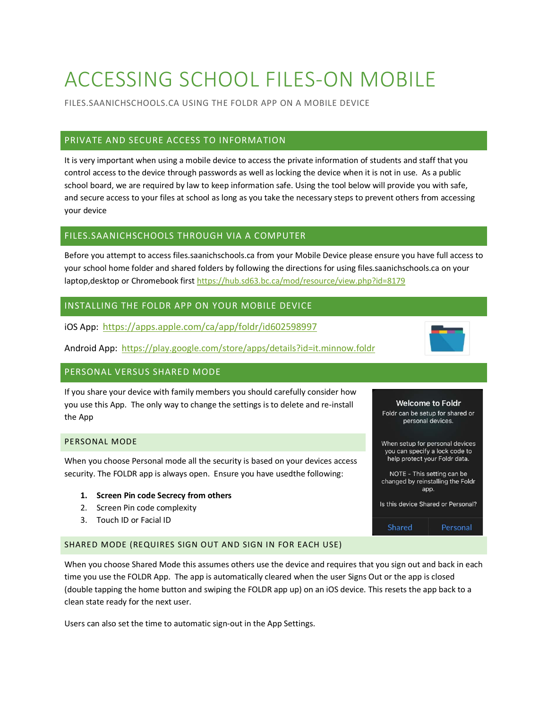# ACCESSING SCHOOL FILES-ON MOBILE

FILES.SAANICHSCHOOLS.CA USING THE FOLDR APP ON A MOBILE DEVICE

# PRIVATE AND SECURE ACCESS TO INFORMATION

It is very important when using a mobile device to access the private information of students and staff that you control access to the device through passwords as well as locking the device when it is not in use. As a public school board, we are required by law to keep information safe. Using the tool below will provide you with safe, and secure access to your files at school as long as you take the necessary steps to prevent others from accessing your device

## FILES.SAANICHSCHOOLS THROUGH VIA A COMPUTER

Before you attempt to access files.saanichschools.ca from your Mobile Device please ensure you have full access to your school home folder and shared folders by following the directions for using files.saanichschools.ca on your laptop,desktop or Chromebook first<https://hub.sd63.bc.ca/mod/resource/view.php?id=8179>

# INSTALLING THE FOLDR APP ON YOUR MOBILE DEVICE

iOS App: <https://apps.apple.com/ca/app/foldr/id602598997>

Android App: <https://play.google.com/store/apps/details?id=it.minnow.foldr>

## PERSONAL VERSUS SHARED MODE

If you share your device with family members you should carefully consider how you use this App. The only way to change the settings is to delete and re-install the App

## PERSONAL MODE

When you choose Personal mode all the security is based on your devices access security. The FOLDR app is always open. Ensure you have usedthe following:

### **1. Screen Pin code Secrecy from others**

- 2. Screen Pin code complexity
- 3. Touch ID or Facial ID

## SHARED MODE (REQUIRES SIGN OUT AND SIGN IN FOR EACH USE)

When you choose Shared Mode this assumes others use the device and requires that you sign out and back in each time you use the FOLDR App. The app is automatically cleared when the user Signs Out or the app is closed (double tapping the home button and swiping the FOLDR app up) on an iOS device. This resets the app back to a clean state ready for the next user.

Users can also set the time to automatic sign-out in the App Settings.

### **Welcome to Foldr**

Foldr can be setup for shared or personal devices.

- When setup for personal devices you can specify a lock code to help protect your Foldr data.
- NOTE This setting can be changed by reinstalling the Foldr app.

Is this device Shared or Personal?



Shared Personal